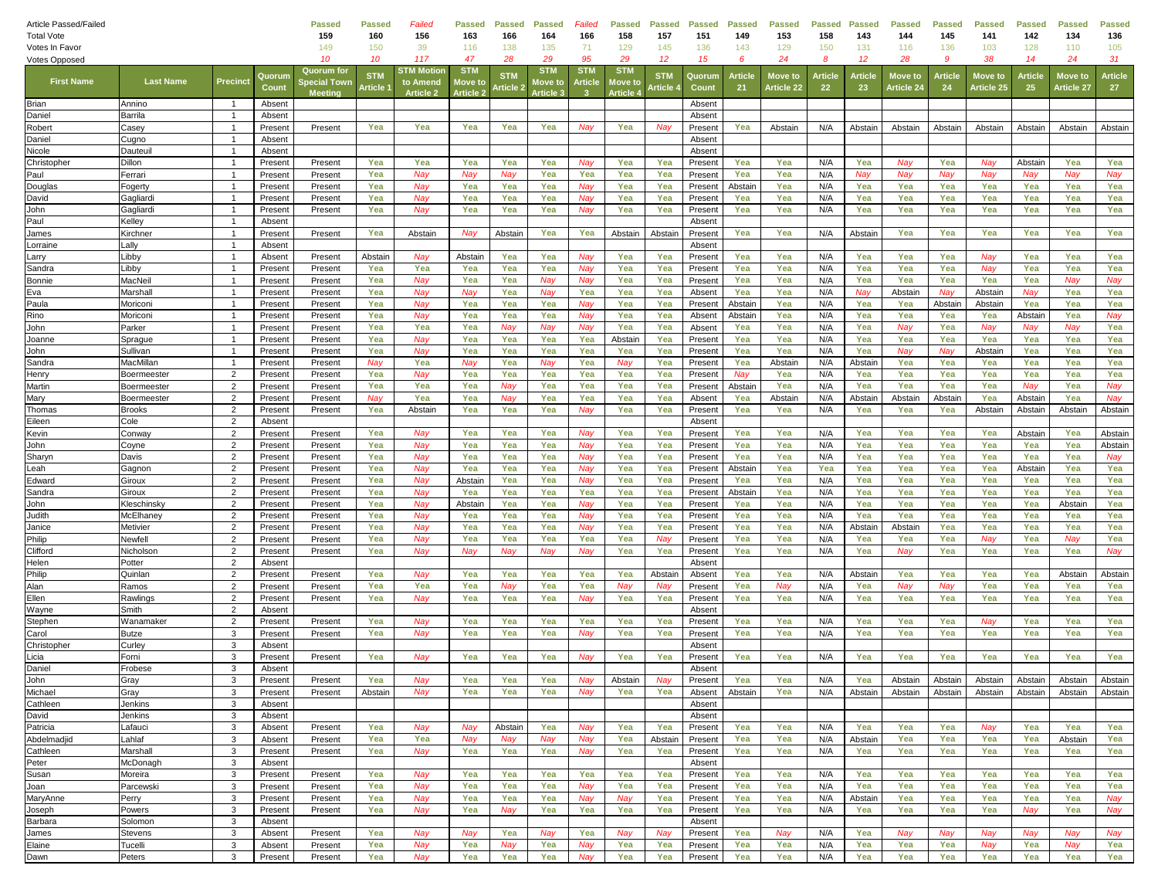| Article Passed/Failed<br><b>Total Vote</b> |                            |                |                    | <b>Passed</b><br>159                               | Passed<br>160         | Failed<br>156                             | <b>Passed</b><br>163                    | <b>Passed</b><br>166   | <b>Passed</b><br>164               | Failed<br>166         | <b>Passed</b><br>158                   | <b>Passed</b><br>157   | <b>Passed</b><br>151 | Passed<br>149  | <b>Passed</b><br>153         | <b>Passed</b><br>158 | <b>Passed</b><br>143 | <b>Passed</b><br>144  | <b>Passed</b><br>145 | <b>Passed</b><br>141  | Passed<br>142  | <b>Passed</b><br>134  | <b>Passed</b><br>136 |
|--------------------------------------------|----------------------------|----------------|--------------------|----------------------------------------------------|-----------------------|-------------------------------------------|-----------------------------------------|------------------------|------------------------------------|-----------------------|----------------------------------------|------------------------|----------------------|----------------|------------------------------|----------------------|----------------------|-----------------------|----------------------|-----------------------|----------------|-----------------------|----------------------|
| Votes In Favor                             |                            |                |                    | 149                                                | 150                   | 39                                        | 116                                     | 138                    | 135                                | 71                    | 129                                    | 145                    | 136                  | 143            | 129                          | 150                  | 131                  | 116                   | 136                  | 103                   | 128            | 110                   | 105                  |
| <b>Votes Opposed</b>                       |                            |                |                    | 10                                                 | 10                    | 117                                       | 47                                      | 28                     | 29                                 | 95                    | 29                                     | $12 \overline{ }$      | 15                   | 6              | 24                           | 8                    | 12                   | 28                    | 9                    | 38                    | 14             | 24                    | 31                   |
| <b>First Name</b>                          | <b>Last Name</b>           | Precinct       | Quorun<br>Count    | <b>Quorum</b> for<br>pecial Towr<br><b>Meeting</b> | <b>STN</b><br>Article | STM Motio<br>to Amend<br><b>Article 2</b> | <b>STM</b><br>love to<br><b>Article</b> | <b>STM</b><br>: rticle | <b>STM</b><br>love to<br>Article 3 | <b>STM</b><br>Article | <b>STM</b><br>love t<br><b>Article</b> | <b>STM</b><br>، rticle | Quorum<br>Count      | Article<br>21  | <b>Move to</b><br>Article 22 | Article<br>22        | Articl<br>-23        | Move to<br>Article 24 | Article<br>24        | Move tc<br>Article 25 | Article<br>25  | Move to<br>Article 27 | <b>Article</b><br>27 |
| Brian                                      | Annino                     |                | Absent             |                                                    |                       |                                           |                                         |                        |                                    |                       |                                        |                        | Absent               |                |                              |                      |                      |                       |                      |                       |                |                       |                      |
| Daniel                                     | Barrila                    | $\overline{1}$ | Absent             |                                                    |                       |                                           |                                         |                        |                                    |                       |                                        |                        | Absen                |                |                              |                      |                      |                       |                      |                       |                |                       |                      |
| Robert                                     | Casey                      | $\overline{1}$ | Present            | Present                                            | Yea                   | Yea                                       | Yea                                     | Yea                    | Yea                                | Nay                   | Yea                                    | Nay                    | Present              | Yea            | Abstain                      | N/A                  | Abstain              | Abstair               | Abstair              | Abstain               | Abstain        | Abstain               | Abstain              |
| Daniel                                     | Cugno                      | $\mathbf{1}$   | Absent             |                                                    |                       |                                           |                                         |                        |                                    |                       |                                        |                        | Absent               |                |                              |                      |                      |                       |                      |                       |                |                       |                      |
| Nicole                                     | Dauteui                    | $\overline{1}$ | Absent             |                                                    |                       |                                           |                                         |                        |                                    |                       |                                        |                        | Absent               |                |                              |                      |                      |                       |                      |                       |                |                       |                      |
| Christopher                                | Dillon                     | $\overline{1}$ | Present            | Present                                            | Yea                   | Yea                                       | Yea                                     | Yea                    | Yea                                | Nay                   | Yea                                    | Yea                    | Present              | Yea            | Yea                          | N/A                  | Yea                  | Nay                   | Yea                  | Nay                   | Abstair        | Yea                   | Yea                  |
| Paul                                       | Ferrari                    | -1             | Present            | Present                                            | Yea                   | Nay                                       | Nay                                     | Nav                    | Yea                                | Yea                   | Yea                                    | Yea                    | Present              | Yea            | Yea                          | N/A                  | Nay                  | Nay                   | Nay                  | Nay                   | Nav            | Nay                   | Nay                  |
| Douglas                                    | Fogerty                    | $\overline{1}$ | Present            | Present                                            | Yea                   | Nay                                       | Yea                                     | Yea                    | Yea                                | Nav                   | Yea                                    | Yea                    | Present              | Abstair        | Yea                          | N/A                  | Yea                  | Yea                   | Yea                  | Yea                   | Yea            | Yea                   | Yea                  |
| David                                      | Gagliardi                  | $\overline{1}$ | Present            | Present                                            | Yea                   | Nay                                       | Yea                                     | Yea                    | Yea                                | Nay                   | Yea                                    | Yea                    | Present              | Yea            | Yea                          | N/A                  | Yea                  | Yea                   | Yea                  | Yea                   | Yea            | Yea                   | Yea                  |
| John                                       | Gagliardi                  | -1             | Present            | Present                                            | Yea                   | Nay                                       | Yea                                     | Yea                    | Yea                                | Nay                   | Yea                                    | Yea                    | Present              | Yea            | Yea                          | N/A                  | Yea                  | Yea                   | Yea                  | Yea                   | Yea            | Yea                   | Yea                  |
| Paul                                       | Kelley                     | $\overline{1}$ | Absent             |                                                    |                       |                                           |                                         |                        |                                    |                       |                                        |                        | Absent               |                |                              |                      |                      |                       |                      |                       |                |                       |                      |
| James                                      | Kirchner                   | $\mathbf{1}$   | Present            | Present                                            | Yea                   | Abstain                                   | Nav                                     | Abstair                | Yea                                | Yea                   | Abstair                                | Abstain                | Present              | Yea            | Yea                          | N/A                  | Abstain              | Yea                   | Yea                  | Yea                   | Yea            | Yea                   | Yea                  |
| Lorraine                                   | Lally                      | $\overline{1}$ | Absent             |                                                    |                       |                                           |                                         |                        |                                    |                       |                                        |                        | Absent               |                |                              |                      |                      |                       |                      |                       |                |                       |                      |
| Larry                                      | Libby                      | $\overline{1}$ | Absent             | Present                                            | Abstain               | Nay                                       | Abstain                                 | Yea                    | Yea                                | Nay                   | Yea                                    | Yea                    | Present              | Yea            | Yea                          | N/A                  | Yea                  | Yea                   | Yea                  | Nay                   | Yea            | Yea                   | Yea                  |
| Sandra                                     | Libby                      | $\overline{1}$ | Present            | Present                                            | Yea                   | Yea                                       | Yea                                     | Yea                    | Yea                                | Nav                   | Yea                                    | Yea                    | Present              | Yea            | Yea                          | N/A                  | Yea                  | Yea                   | Yea                  | Nay                   | Yea            | Yea                   | Yea                  |
| Bonnie                                     | MacNei                     | $\mathbf{1}$   | Present            | Present                                            | Yea                   | Nav                                       | Yea                                     | Yea                    | Nay                                | Nav                   | Yea                                    | Yea                    | Present              | Yea            | Yea                          | N/A                  | Yea                  | Yea                   | Yea                  | Yea                   | Yea            | Nay                   | Nay                  |
| Eva                                        | Marshall                   | $\overline{1}$ | Present            | Present                                            | Yea                   | Nay                                       | Nay                                     | Yea                    | Nay                                | Yea                   | Yea                                    | Yea                    | Absent               | Yea            | Yea                          | N/A                  | Nay                  | Abstain               | Nay                  | Abstain               | Nay            | Yea                   | Yea                  |
| Paula                                      | Moriconi                   | $\overline{1}$ | Present            | Present                                            | Yea                   | Nay                                       | Yea                                     | Yea                    | Yea                                | Nay                   | Yea                                    | Yea                    | Present              | Abstair        | Yea                          | N/A                  | Yea                  | Yea                   | Abstair              | Abstain               | Yea            | Yea                   | Yea                  |
| Rino                                       | Moricon                    | -1             | Present            | Present                                            | Yea                   | Nav                                       | Yea                                     | Yea                    | Yea                                | Nav                   | Yea                                    | Yea                    | Absent               | Abstair        | Yea                          | N/A                  | Yea                  | Yea                   | Yea                  | Yea                   | Abstair        | Yea                   | Nay                  |
| John                                       | Parker                     | $\overline{1}$ | Present            | Present                                            | Yea                   | Yea                                       | Yea                                     | Nay                    | Nay                                | Nay                   | Yea                                    | Yea                    | Absent               | Yea            | Yea                          | N/A                  | Yea                  | Nay                   | Yea                  | Nay                   | Nay            | Nay                   | Yea                  |
| Joanne                                     | Sprague                    | $\overline{1}$ | Present            | Present                                            | Yea                   | Nay                                       | Yea                                     | Yea                    | Yea                                | Yea                   | Abstair                                | Yea                    | Present              | Yea            | Yea                          | N/A                  | Yea                  | Yea                   | Yea                  | Yea                   | Yea            | Yea                   | Yea                  |
| John                                       | Sullivan                   | $\overline{1}$ | Present            | Present                                            | Yea                   | Nay                                       | Yea                                     | Yea                    | Yea                                | Yea                   | Yea                                    | Yea                    | Present              | Yea            | Yea                          | N/A                  | Yea                  | Nay                   | Nay                  | Abstain               | Yea            | Yea                   | Yea                  |
| Sandra                                     | MacMillan                  | $\overline{1}$ | Present            | Present                                            | Nay                   | Yea                                       | Nay                                     | Yea                    | Nay                                | Yea                   | Nay                                    | Yea                    | Present              | Yea            | Abstain                      | N/A                  | Abstain              | Yea                   | Yea                  | Yea                   | Yea            | Yea                   | Yea                  |
| Henry                                      | Boermeester                | 2              | Present            | Present                                            | Yea                   | Nay                                       | Yea                                     | Yea                    | Yea                                | Yea                   | Yea                                    | Yea                    | Present              | Nay            | Yea                          | N/A                  | Yea                  | Yea                   | Yea                  | Yea                   | Yea            | Yea                   | Yea                  |
| Martin<br>Mary                             | Boermeester<br>Boermeester | 2<br>2         | Present<br>Present | Present<br>Present                                 | Yea<br>Nay            | Yea<br>Yea                                | Yea<br>Yea                              | Nay<br>Nay             | Yea<br>Yea                         | Yea<br>Yea            | Yea<br>Yea                             | Yea<br>Yea             | Present<br>Absent    | Abstair<br>Yea | Yea<br>Abstain               | N/A<br>N/A           | Yea<br>Abstain       | Yea<br>Abstain        | Yea<br>Abstair       | Yea<br>Yea            | Nay<br>Abstain | Yea<br>Yea            | Nay<br>Nay           |
|                                            |                            | $\overline{2}$ | Present            |                                                    | Yea                   | Abstain                                   | Yea                                     | Yea                    | Yea                                | Nay                   | Yea                                    | Yea                    | Present              | Yea            | Yea                          | N/A                  | Yea                  | Yea                   | Yea                  |                       |                | Abstain               |                      |
| Thomas<br>Eileen                           | <b>Brooks</b><br>Cole      | 2              | Absent             | Present                                            |                       |                                           |                                         |                        |                                    |                       |                                        |                        | Absent               |                |                              |                      |                      |                       |                      | Abstain               | Abstair        |                       | Abstain              |
| Kevin                                      | Conway                     | 2              | Present            | Present                                            | Yea                   | Nay                                       | Yea                                     | Yea                    | Yea                                | Nav                   | Yea                                    | Yea                    | Present              | Yea            | Yea                          | N/A                  | Yea                  | Yea                   | Yea                  | Yea                   | Abstain        | Yea                   | Abstain              |
| John                                       | Coyne                      | $\overline{2}$ | Present            | Present                                            | Yea                   | Nay                                       | Yea                                     | Yea                    | Yea                                | Nay                   | Yea                                    | Yea                    | Present              | Yea            | Yea                          | N/A                  | Yea                  | Yea                   | Yea                  | Yea                   | Yea            | Yea                   | Abstain              |
| Sharyn                                     | Davis                      | 2              | Present            | Present                                            | Yea                   | Nay                                       | Yea                                     | Yea                    | Yea                                | Nay                   | Yea                                    | Yea                    | Present              | Yea            | Yea                          | N/A                  | Yea                  | Yea                   | Yea                  | Yea                   | Yea            | Yea                   | Nay                  |
| Leah                                       | Gagnon                     | 2              | Present            | Present                                            | Yea                   | Nay                                       | Yea                                     | Yea                    | Yea                                | Nay                   | Yea                                    | Yea                    | Present              | Abstain        | Yea                          | Yea                  | Yea                  | Yea                   | Yea                  | Yea                   | Abstain        | Yea                   | Yea                  |
| Edward                                     | Giroux                     | $\overline{2}$ | Present            | Present                                            | Yea                   | Nay                                       | Abstair                                 | Yea                    | Yea                                | Nay                   | Yea                                    | Yea                    | Present              | Yea            | Yea                          | N/A                  | Yea                  | Yea                   | Yea                  | Yea                   | Yea            | Yea                   | Yea                  |
| Sandra                                     | Giroux                     | 2              | Present            | Present                                            | Yea                   | Nay                                       | Yea                                     | Yea                    | Yea                                | Yea                   | Yea                                    | Yea                    | Present              | Abstair        | Yea                          | N/A                  | Yea                  | Yea                   | Yea                  | Yea                   | Yea            | Yea                   | Yea                  |
| John                                       | Kleschinsky                | 2              | Present            | Present                                            | Yea                   | Nay                                       | Abstain                                 | Yea                    | Yea                                | Nay                   | Yea                                    | Yea                    | Present              | Yea            | Yea                          | N/A                  | Yea                  | Yea                   | Yea                  | Yea                   | Yea            | Abstain               | Yea                  |
| Judith                                     | McElhaney                  | $\overline{2}$ | Present            | Present                                            | Yea                   | Nay                                       | Yea                                     | Yea                    | Yea                                | Nay                   | Yea                                    | Yea                    | Present              | Yea            | Yea                          | N/A                  | Yea                  | Yea                   | Yea                  | Yea                   | Yea            | Yea                   | Yea                  |
| Janice                                     | Metivier                   | 2              | Present            | Present                                            | Yea                   | Nay                                       | Yea                                     | Yea                    | Yea                                | Nav                   | Yea                                    | Yea                    | Presen               | Yea            | Yea                          | N/A                  | Abstair              | Abstair               | Yea                  | Yea                   | Yea            | Yea                   | Yea                  |
| Philip                                     | Newfell                    | $\overline{2}$ | Present            | Present                                            | Yea                   | Nay                                       | Yea                                     | Yea                    | Yea                                | Yea                   | Yea                                    | Nay                    | Present              | Yea            | Yea                          | N/A                  | Yea                  | Yea                   | Yea                  | Nay                   | Yea            | Nay                   | Yea                  |
| Clifford                                   | Nicholson                  | $\overline{2}$ | Present            | Present                                            | Yea                   | Nay                                       | Nay                                     | Nay                    | Nay                                | Nay                   | Yea                                    | Yea                    | Present              | Yea            | Yea                          | N/A                  | Yea                  | Nay                   | Yea                  | Yea                   | Yea            | Yea                   | Nay                  |
| Helen                                      | Potter                     | 2              | Absent             |                                                    |                       |                                           |                                         |                        |                                    |                       |                                        |                        | Absent               |                |                              |                      |                      |                       |                      |                       |                |                       |                      |
| Philip                                     | Quinlan                    | 2              | Present            | Present                                            | Yea                   | Nay                                       | Yea                                     | Yea                    | Yea                                | Yea                   | Yea                                    | Abstain                | Absent               | Yea            | Yea                          | N/A                  | Abstain              | Yea                   | Yea                  | Yea                   | Yea            | Abstain               | Abstain              |
| Alan                                       | Ramos                      | $\overline{2}$ | Present            | Present                                            | Yea                   | Yea                                       | Yea                                     | Nay                    | Yea                                | Yea                   | Nay                                    | Nay                    | Present              | Yea            | Nay                          | N/A                  | Yea                  | Nay                   | Nay                  | Yea                   | Yea            | Yea                   | Yea                  |
| Ellen                                      | Rawlings                   | 2              | Present            | Present                                            | Yea                   | Nay                                       | Yea                                     | Yea                    | Yea                                | Nay                   | Yea                                    | Yea                    | Present              | Yea            | Yea                          | N/A                  | Yea                  | Yea                   | Yea                  | Yea                   | Yea            | Yea                   | Yea                  |
| Wayne                                      | Smith                      | 2              | Absent             |                                                    |                       |                                           |                                         |                        |                                    |                       |                                        |                        | Absent               |                |                              |                      |                      |                       |                      |                       |                |                       |                      |
| Stephen                                    | Wanamaker                  | $\overline{2}$ | Present            | Present                                            | Yea                   | Nay                                       | Yea                                     | Yea                    | Yea                                | Yea                   | Yea                                    | Yea                    | Present              | Yea            | Yea                          | N/A                  | Yea                  | Yea                   | Yea                  | Nay                   | Yea            | Yea                   | Yea                  |
| Carol                                      | <b>Butze</b>               | 3              | Present            | Present                                            | Yea                   | Nay                                       | Yea                                     | Yea                    | Yea                                | Nay                   | Yea                                    | Yea                    | Present              | Yea            | Yea                          | N/A                  | Yea                  | Yea                   | Yea                  | Yea                   | Yea            | Yea                   | Yea                  |
| Christopher                                | Curley                     | 3              | Absent             |                                                    |                       |                                           |                                         |                        |                                    |                       |                                        |                        | Absent               |                |                              |                      |                      |                       |                      |                       |                |                       |                      |
| Licia                                      | Forni                      | 3              | Present            | Present                                            | Yea                   | Nay                                       | Yea                                     | Yea                    | Yea                                | Nay                   | Yea                                    | Yea                    | Present              | Yea            | Yea                          | N/A                  | Yea                  | Yea                   | Yea                  | Yea                   | Yea            | Yea                   | Yea                  |
| Daniel                                     | Frobese                    | 3              | Absent             |                                                    |                       |                                           |                                         |                        |                                    |                       |                                        |                        | Absent               |                |                              |                      |                      |                       |                      |                       |                |                       |                      |
| John                                       | Gray                       | 3              | Present            | Present                                            | Yea                   | Nay                                       | Yea                                     | Yea                    | Yea                                | Nay                   | Abstain                                | Nay                    | Present              | Yea            | Yea                          | N/A                  | Yea                  | Abstain               | Abstain              | Abstain               | Abstain        | Abstain               | Abstain              |
| Michael                                    | Gray                       | 3              | Present            | Present                                            | Abstain               | Nay                                       | Yea                                     | Yea                    | Yea                                | Nay                   | Yea                                    | Yea                    | Absent               | Abstain        | Yea                          | N/A                  | Abstain              | Abstain               | Abstain              | Abstain               | Abstain        | Abstain               | Abstain              |
| Cathleen                                   | Jenkins                    | 3              | Absent             |                                                    |                       |                                           |                                         |                        |                                    |                       |                                        |                        | Absent               |                |                              |                      |                      |                       |                      |                       |                |                       |                      |
| David                                      | Jenkins                    | 3              | Absent             |                                                    |                       |                                           |                                         |                        |                                    |                       |                                        |                        | Absent               |                |                              |                      |                      |                       |                      |                       |                |                       |                      |
| Patricia                                   | Lafauci                    | 3              | Absent             | Present                                            | Yea                   | Nay                                       | Nay                                     | Abstain                | Yea                                | Nay                   | Yea                                    | Yea                    | Present              | Yea            | Yea                          | N/A                  | Yea                  | Yea                   | Yea                  | Nay                   | Yea            | Yea                   | Yea                  |
| Abdelmadjid                                | Lahlaf                     | 3              | Absent             | Present                                            | Yea                   | Yea                                       | Nay                                     | Nay                    | Nay                                | Nay                   | Yea                                    | Abstain                | Present              | Yea            | Yea                          | N/A                  | Abstain              | Yea                   | Yea                  | Yea                   | Yea            | Abstain               | Yea                  |
| Cathleen                                   | Marshall                   | $\mathbf{3}$   | Present            | Present                                            | Yea                   | Nay                                       | Yea                                     | Yea                    | Yea                                | Nay                   | Yea                                    | Yea                    | Present              | Yea            | Yea                          | N/A                  | Yea                  | Yea                   | Yea                  | Yea                   | Yea            | Yea                   | Yea                  |
| Peter                                      | McDonagh                   | 3              | Absent             |                                                    |                       |                                           |                                         |                        |                                    |                       |                                        |                        | Absent               |                |                              |                      |                      |                       |                      |                       |                |                       |                      |
| Susan                                      | Moreira                    | 3              | Present            | Present                                            | Yea                   | Nay                                       | Yea                                     | Yea                    | Yea                                | Yea                   | Yea                                    | Yea                    | Present              | Yea            | Yea                          | N/A                  | Yea                  | Yea                   | Yea                  | Yea                   | Yea            | Yea                   | Yea                  |
| Joan                                       | Parcewski                  | 3              | Present            | Present                                            | Yea                   | Nay                                       | Yea                                     | Yea                    | Yea                                | Nay                   | Yea                                    | Yea                    | Present              | Yea            | Yea                          | N/A                  | Yea                  | Yea                   | Yea                  | Yea                   | Yea            | Yea                   | Yea                  |
| MaryAnne                                   | Perry                      | 3              | Present            | Present                                            | Yea                   | Nay                                       | Yea                                     | Yea                    | Yea                                | Nay                   | Nay                                    | Yea                    | Present              | Yea            | Yea                          | N/A                  | Abstain              | Yea                   | Yea                  | Yea                   | Yea            | Yea                   | Nay                  |
| Joseph                                     | Powers                     | 3              | Present            | Present                                            | Yea                   | Nay                                       | Yea                                     | Nay                    | Yea                                | Yea                   | Yea                                    | Yea                    | Present              | Yea            | Yea                          | N/A                  | Yea                  | Yea                   | Yea                  | Yea                   | Nay            | Yea                   | Nay                  |
| Barbara                                    | Solomon                    | 3              | Absent             |                                                    |                       |                                           |                                         |                        |                                    |                       |                                        |                        | Absent               |                |                              |                      |                      |                       |                      |                       |                |                       |                      |
| James                                      | <b>Stevens</b>             | 3              | Absent             | Present                                            | Yea                   | Nay                                       | Nay                                     | Yea                    | Nay                                | Yea                   | Nay                                    | Nay                    | Present              | Yea            | Nay                          | N/A                  | Yea                  | Nay                   | Nay                  | Nay                   | Nay            | Nay                   | Nay                  |
| Elaine                                     | Tucelli                    | 3              | Absent             | Present                                            | Yea                   | Nay                                       | Yea                                     | Nay                    | Yea                                | Nay                   | Yea                                    | Yea                    | Present              | Yea            | Yea                          | N/A                  | Yea                  | Yea                   | Yea                  | Nay                   | Yea            | Nay                   | Yea                  |
| Dawn                                       | Peters                     | 3              | Present            | Present                                            | Yea                   | Nay                                       | Yea                                     | Yea                    | Yea                                | Nay                   | Yea                                    | Yea                    | Present              | Yea            | Yea                          | N/A                  | Yea                  | Yea                   | Yea                  | Yea                   | Yea            | Yea                   | Yea                  |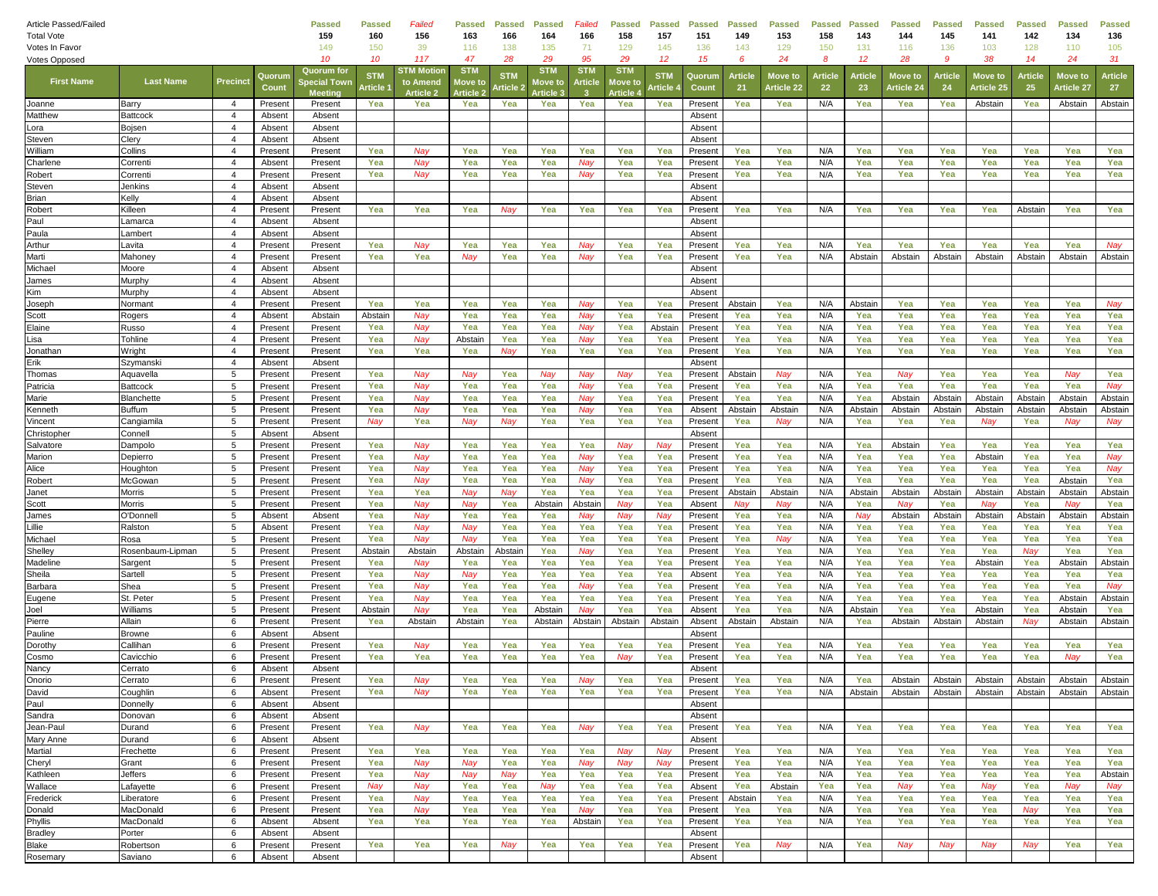| Article Passed/Failed                  |                           |                                  |                    | <b>Passed</b>      | <b>Passed</b>                | Failed           | <b>Passed</b>  | <b>Passed</b>          | <b>Passed</b>    | Failed     | <b>Passed</b>  | <b>Passed</b>        | <b>Passed</b>      | <b>Passed</b> | <b>Passed</b>         | <b>Passed</b>  | <b>Passed</b> | Passed                       | <b>Passed</b> | <b>Passed</b>         | Passed        | <b>Passed</b>         | <b>Passed</b>         |
|----------------------------------------|---------------------------|----------------------------------|--------------------|--------------------|------------------------------|------------------|----------------|------------------------|------------------|------------|----------------|----------------------|--------------------|---------------|-----------------------|----------------|---------------|------------------------------|---------------|-----------------------|---------------|-----------------------|-----------------------|
| <b>Total Vote</b>                      |                           |                                  |                    | 159                | 160                          | 156              | 163            | 166                    | 164              | 166        | 158            | 157                  | 151                | 149           | 153                   | 158            | 143           | 144                          | 145           | 141                   | 142           | 134                   | 136                   |
| Votes In Favor<br><b>Votes Opposed</b> |                           |                                  |                    | 149<br>10          | 150<br>10                    | 39<br>117        | 116<br>47      | 138<br>28              | 135<br>29        | 71<br>95   | 129<br>29      | 145<br>12            | 136<br>15          | 143<br>6      | 129<br>24             | 150<br>-8      | 131<br>12     | 116<br>28                    | 136<br>9      | 103<br>38             | 128<br>14     | 110<br>24             | 105<br>31             |
|                                        |                           |                                  |                    | <b>Quorum for</b>  |                              | STM Motioı       | <b>STM</b>     |                        | <b>STM</b>       | <b>STM</b> | <b>STM</b>     |                      |                    |               |                       |                |               |                              |               |                       |               |                       |                       |
| <b>First Name</b>                      | <b>Last Name</b>          | Precinct                         | Quorun<br>Count    | pecial Towr        | <b>STN</b><br><b>\rticle</b> | to Amend         | love to        | <b>STN</b><br>: rticle | love to          | Article    | love t         | <b>STM</b><br>rticle | Quorum<br>Count    | Artick<br>21  | Move to<br>Article 22 | Article<br>-22 | Articl<br>23  | Move to<br><b>Article 24</b> | Article<br>24 | Move to<br>Article 25 | Article<br>25 | Move to<br>Article 27 | <b>Article</b><br>-27 |
|                                        |                           |                                  |                    | Meetina            |                              | <b>Article 2</b> | <b>Article</b> |                        | <b>Article 3</b> |            | <b>Article</b> |                      |                    |               |                       |                |               |                              |               |                       |               |                       |                       |
| Joanne<br>Matthew                      | Barry<br>Battcock         | $\overline{4}$<br>$\overline{4}$ | Present<br>Absent  | Present<br>Absent  | Yea                          | Yea              | Yea            | Yea                    | Yea              | Yea        | Yea            | Yea                  | Present<br>Absent  | Yea           | Yea                   | N/A            | Yea           | Yea                          | Yea           | Abstain               | Yea           | Abstain               | Abstain               |
| Lora                                   | Bojsen                    | $\overline{4}$                   | Absent             | Absent             |                              |                  |                |                        |                  |            |                |                      | Absent             |               |                       |                |               |                              |               |                       |               |                       |                       |
| Steven                                 | Clery                     | $\overline{4}$                   | Absent             | Absent             |                              |                  |                |                        |                  |            |                |                      | Absent             |               |                       |                |               |                              |               |                       |               |                       |                       |
| William                                | Collins                   | $\overline{4}$                   | Present            | Present            | Yea                          | Nay              | Yea            | Yea                    | Yea              | Yea        | Yea            | Yea                  | Present            | Yea           | Yea                   | N/A            | Yea           | Yea                          | Yea           | Yea                   | Yea           | Yea                   | Yea                   |
| Charlene                               | Correnti                  | $\overline{4}$                   | Absent             | Present            | Yea                          | Nay              | Yea            | Yea                    | Yea              | Nay        | Yea            | Yea                  | Present            | Yea           | Yea                   | N/A            | Yea           | Yea                          | Yea           | Yea                   | Yea           | Yea                   | Yea                   |
| Robert                                 | Correnti                  | $\overline{4}$                   | Present            | Present            | Yea                          | Nay              | Yea            | Yea                    | Yea              | Nay        | Yea            | Yea                  | Present            | Yea           | Yea                   | N/A            | Yea           | Yea                          | Yea           | Yea                   | Yea           | Yea                   | Yea                   |
| Steven                                 | Jenkins                   | $\overline{4}$                   | Absent             | Absent             |                              |                  |                |                        |                  |            |                |                      | Absent             |               |                       |                |               |                              |               |                       |               |                       |                       |
| Brian                                  | Kelly                     | $\overline{4}$                   | Absent             | Absent             |                              |                  |                |                        |                  |            |                |                      | Absent             |               |                       |                |               |                              |               |                       |               |                       |                       |
| Robert                                 | Killeen                   | $\overline{4}$                   | Present            | Present            | Yea                          | Yea              | Yea            | Nay                    | Yea              | Yea        | Yea            | Yea                  | Present            | Yea           | Yea                   | N/A            | Yea           | Yea                          | Yea           | Yea                   | Abstain       | Yea                   | Yea                   |
| Paul                                   | Lamarca                   | $\overline{4}$                   | Absent             | Absent             |                              |                  |                |                        |                  |            |                |                      | Absent             |               |                       |                |               |                              |               |                       |               |                       |                       |
| Paula                                  | Lambert                   | $\overline{4}$                   | Absent             | Absent             |                              |                  |                |                        |                  |            |                |                      | Absent             |               |                       |                |               |                              |               |                       |               |                       |                       |
| Arthur                                 | Lavita                    | $\overline{4}$                   | Present            | Present            | Yea                          | Nay              | Yea            | Yea                    | Yea              | Nay        | Yea            | Yea                  | Present            | Yea           | Yea                   | N/A            | Yea           | Yea                          | Yea           | Yea                   | Yea           | Yea                   | Nay                   |
| Marti                                  | Mahoney                   | $\overline{4}$                   | Present            | Present            | Yea                          | Yea              | Nay            | Yea                    | Yea              | Nay        | Yea            | Yea                  | Present            | Yea           | Yea                   | N/A            | Abstain       | Abstain                      | Abstair       | Abstain               | Abstain       | Abstain               | Abstain               |
| Michael                                | Moore                     | $\overline{4}$                   | Absent             | Absent             |                              |                  |                |                        |                  |            |                |                      | Absent             |               |                       |                |               |                              |               |                       |               |                       |                       |
| James<br>Kim                           | Murphy<br>Murphy          | $\overline{4}$<br>$\overline{4}$ | Absent<br>Absent   | Absent<br>Absent   |                              |                  |                |                        |                  |            |                |                      | Absent<br>Absent   |               |                       |                |               |                              |               |                       |               |                       |                       |
| Joseph                                 | Normant                   | $\overline{4}$                   | Present            | Present            | Yea                          | Yea              | Yea            | Yea                    | Yea              | Nav        | Yea            | Yea                  | Present            | Abstair       | Yea                   | N/A            | Abstair       | Yea                          | Yea           | Yea                   | Yea           | Yea                   | Nay                   |
| Scott                                  | Rogers                    | 4                                | Absent             | Abstain            | Abstain                      | Nav              | Yea            | Yea                    | Yea              | Nay        | Yea            | Yea                  | Present            | Yea           | Yea                   | N/A            | Yea           | Yea                          | Yea           | Yea                   | Yea           | Yea                   | Yea                   |
| Elaine                                 | Russo                     | $\overline{4}$                   | Present            | Present            | Yea                          | Nay              | Yea            | Yea                    | Yea              | Nay        | Yea            | Abstain              | Present            | Yea           | Yea                   | N/A            | Yea           | Yea                          | Yea           | Yea                   | Yea           | Yea                   | Yea                   |
| Lisa                                   | Tohline                   | $\overline{4}$                   | Present            | Present            | Yea                          | Nay              | Abstair        | Yea                    | Yea              | Nay        | Yea            | Yea                  | Present            | Yea           | Yea                   | N/A            | Yea           | Yea                          | Yea           | Yea                   | Yea           | Yea                   | Yea                   |
| Jonathan                               | Wright                    | $\overline{4}$                   | Present            | Present            | Yea                          | Yea              | Yea            | Nay                    | Yea              | Yea        | Yea            | Yea                  | Present            | Yea           | Yea                   | N/A            | Yea           | Yea                          | Yea           | Yea                   | Yea           | Yea                   | Yea                   |
| Erik                                   | Szymansk                  | $\overline{4}$                   | Absent             | Absent             |                              |                  |                |                        |                  |            |                |                      | Absent             |               |                       |                |               |                              |               |                       |               |                       |                       |
| Thomas                                 | Aquavella                 | 5                                | Present            | Present            | Yea                          | Nay              | Nay            | Yea                    | Nay              | Nay        | Nay            | Yea                  | Present            | Abstain       | Nay                   | N/A            | Yea           | Nay                          | Yea           | Yea                   | Yea           | Nay                   | Yea                   |
| Patricia                               | <b>Battcock</b>           | 5                                | Present            | Present            | Yea                          | Nay              | Yea            | Yea                    | Yea              | Nay        | Yea            | Yea                  | Present            | Yea           | Yea                   | N/A            | Yea           | Yea                          | Yea           | Yea                   | Yea           | Yea                   | Nay                   |
| Marie                                  | Blanchette                | 5                                | Present            | Present            | Yea                          | Nay              | Yea            | Yea                    | Yea              | Nav        | Yea            | Yea                  | Present            | Yea           | Yea                   | N/A            | Yea           | Abstain                      | Abstair       | Abstain               | Abstain       | Abstain               | Abstain               |
| Kenneth                                | <b>Buffum</b>             | 5                                | Presen             | Present            | Yea                          | Nay              | Yea            | Yea                    | Yea              | Nay        | Yea            | Yea                  | Absent             | Abstair       | Abstair               | N/A            | Abstair       | Abstain                      | Abstair       | Abstain               | Abstain       | Abstain               | Abstain               |
| Vincent                                | Cangiamila                | 5                                | Present            | Present            | Nay                          | Yea              | Nay            | Nay                    | Yea              | Yea        | Yea            | Yea                  | Present            | Yea           | Nay                   | N/A            | Yea           | Yea                          | Yea           | Nay                   | Yea           | Nay                   | Nay                   |
| Christopher                            | Connell                   | 5                                | Absent             | Absent             |                              |                  |                |                        |                  |            |                |                      | Absent             |               |                       |                |               |                              |               |                       |               |                       |                       |
| Salvatore                              | Dampolo                   | 5                                | Presen             | Present            | Yea                          | Nay              | Yea            | Yea                    | Yea              | Yea        | Nay            | Nay                  | Present            | Yea           | Yea                   | N/A            | Yea           | Abstain                      | Yea           | Yea                   | Yea           | Yea                   | Yea                   |
| Marion<br>Alice                        | Depierro                  | 5<br>5                           | Present<br>Present | Present            | Yea<br>Yea                   | Nay<br>Nay       | Yea<br>Yea     | Yea<br>Yea             | Yea<br>Yea       | Nay<br>Nay | Yea<br>Yea     | Yea<br>Yea           | Present            | Yea<br>Yea    | Yea<br>Yea            | N/A<br>N/A     | Yea<br>Yea    | Yea<br>Yea                   | Yea<br>Yea    | Abstain<br>Yea        | Yea<br>Yea    | Yea<br>Yea            | Nay<br>Nay            |
| Robert                                 | Houghton<br>McGowar       | 5                                | Presen             | Present<br>Present | Yea                          | Nay              | Yea            | Yea                    | Yea              | Nay        | Yea            | Yea                  | Present<br>Present | Yea           | Yea                   | N/A            | Yea           | Yea                          | Yea           | Yea                   | Yea           | Abstain               | Yea                   |
| Janet                                  | Morris                    | 5                                | Present            | Present            | Yea                          | Yea              | Nav            | Nay                    | Yea              | Yea        | Yea            | Yea                  | Present            | Abstain       | Abstair               | N/A            | Abstain       | Abstain                      | Abstair       | Abstain               | Abstain       | Abstain               | Abstain               |
| Scott                                  | Morris                    | 5                                | Present            | Present            | Yea                          | Nay              | Nay            | Yea                    | Abstain          | Abstain    | Nay            | Yea                  | Absent             | Nay           | Nay                   | N/A            | Yea           | Nay                          | Yea           | Nay                   | Yea           | Nay                   | Yea                   |
| James                                  | <b>J'Donnel</b>           | 5                                | Absent             | Absent             | Yea                          | Nay              | Yea            | Yea                    | Yea              | Nay        | Nay            | Nay                  | Present            | Yea           | Yea                   | N/A            | Nay           | Abstain                      | Abstair       | Abstain               | Abstain       | Abstain               | Abstain               |
| Lillie                                 | Ralston                   | 5                                | Absent             | Present            | Yea                          | Nay              | Nav            | Yea                    | Yea              | Yea        | Yea            | Yea                  | Present            | Yea           | Yea                   | N/A            | Yea           | Yea                          | Yea           | Yea                   | Yea           | Yea                   | Yea                   |
| Michael                                | Rosa                      | 5                                | Present            | Present            | Yea                          | Nay              | Nay            | Yea                    | Yea              | Yea        | Yea            | Yea                  | Present            | Yea           | Nay                   | N/A            | Yea           | Yea                          | Yea           | Yea                   | Yea           | Yea                   | Yea                   |
| Shelley                                | Rosenbaum-Lipman          | 5                                | Present            | Present            | Abstain                      | Abstain          | Abstair        | Abstain                | Yea              | Nay        | Yea            | Yea                  | Present            | Yea           | Yea                   | N/A            | Yea           | Yea                          | Yea           | Yea                   | Nay           | Yea                   | Yea                   |
| Madeline                               | Sargen                    | 5                                | Present            | Present            | Yea                          | Nay              | Yea            | Yea                    | Yea              | Yea        | Yea            | Yea                  | Present            | Yea           | Yea                   | N/A            | Yea           | Yea                          | Yea           | Abstain               | Yea           | Abstain               | Abstain               |
| Sheila                                 | Sartell                   | 5                                | Present            | Present            | Yea                          | Nay              | Nav            | Yea                    | Yea              | Yea        | Yea            | Yea                  | Absent             | Yea           | Yea                   | N/A            | Yea           | Yea                          | Yea           | Yea                   | Yea           | Yea                   | Yea                   |
| Barbara                                | Shea                      | 5                                | Present            | Present            | Yea                          | Nay              | Yea            | Yea                    | Yea              | Nay        | Yea            | Yea                  | Present            | Yea           | Yea                   | N/A            | Yea           | Yea                          | Yea           | Yea                   | Yea           | Yea                   | Nay                   |
| Eugene                                 | St. Peter                 | 5                                | Present            | Present            | Yea                          | Nay              | Yea            | Yea                    | Yea              | Yea        | Yea            | Yea                  | Present            | Yea           | Yea                   | N/A            | Yea           | Yea                          | Yea           | Yea                   | Yea           | Abstain               | Abstain               |
| Joel                                   | Williams                  | 5                                | Present            | Present            | Abstain                      | Nay              | Yea            | Yea                    | Abstair          | Nay        | Yea            | Yea                  | Absent             | Yea           | Yea                   | N/A            | Abstain       | Yea                          | Yea           | Abstain               | Yea           | Abstain               | Yea                   |
| Pierre<br>Pauline                      | Allain                    | 6<br>6                           | Present<br>Absent  | Present            | Yea                          | Abstain          | Abstain        | Yea                    | Abstain          | Abstain    | Abstain        | Abstain              | Absent<br>Absent   | Abstain       | Abstain               | N/A            | Yea           | Abstain                      | Abstair       | Abstain               | Nay           | Abstain               | Abstain               |
| Dorothy                                | <b>Browne</b><br>Callihan | 6                                | Presen             | Absent<br>Present  | Yea                          | Nay              | Yea            | Yea                    | Yea              | Yea        | Yea            | Yea                  | Present            | Yea           | Yea                   | N/A            | Yea           | Yea                          | Yea           | Yea                   | Yea           | Yea                   | Yea                   |
| Cosmo                                  | Cavicchio                 | 6                                | Present            | Present            | Yea                          | Yea              | Yea            | Yea                    | Yea              | Yea        | Nay            | Yea                  | Present            | Yea           | Yea                   | N/A            | Yea           | Yea                          | Yea           | Yea                   | Yea           | Nay                   | Yea                   |
| Nancy                                  | Cerrato                   | 6                                | Absent             | Absent             |                              |                  |                |                        |                  |            |                |                      | Absent             |               |                       |                |               |                              |               |                       |               |                       |                       |
| Onorio                                 | Cerrato                   | 6                                | Present            | Present            | Yea                          | Nay              | Yea            | Yea                    | Yea              | Nay        | Yea            | Yea                  | Present            | Yea           | Yea                   | N/A            | Yea           | Abstain                      | Abstain       | Abstain               | Abstain       | Abstain               | Abstain               |
| David                                  | Coughlin                  | 6                                | Absent             | Present            | Yea                          | Nay              | Yea            | Yea                    | Yea              | Yea        | Yea            | Yea                  | Present            | Yea           | Yea                   | N/A            | Abstain       | Abstain                      | Abstain       | Abstain               | Abstain       | Abstain               | Abstain               |
| Paul                                   | Donnelly                  | 6                                | Absent             | Absent             |                              |                  |                |                        |                  |            |                |                      | Absent             |               |                       |                |               |                              |               |                       |               |                       |                       |
| Sandra                                 | Donovan                   | 6                                | Absent             | Absent             |                              |                  |                |                        |                  |            |                |                      | Absent             |               |                       |                |               |                              |               |                       |               |                       |                       |
| Jean-Paul                              | Durand                    | 6                                | Present            | Present            | Yea                          | Nay              | Yea            | Yea                    | Yea              | Nay        | Yea            | Yea                  | Present            | Yea           | Yea                   | N/A            | Yea           | Yea                          | Yea           | Yea                   | Yea           | Yea                   | Yea                   |
| Mary Anne                              | Durand                    | 6                                | Absent             | Absent             |                              |                  |                |                        |                  |            |                |                      | Absent             |               |                       |                |               |                              |               |                       |               |                       |                       |
| Martial                                | Frechette                 | 6                                | Present            | Present            | Yea                          | Yea              | Yea            | Yea                    | Yea              | Yea        | Nay            | Nay                  | Present            | Yea           | Yea                   | N/A            | Yea           | Yea                          | Yea           | Yea                   | Yea           | Yea                   | Yea                   |
| Cheryl                                 | Grant                     | 6                                | Present            | Present            | Yea                          | Nay              | Nay            | Yea                    | Yea              | Nay        | Nay            | Nay                  | Present            | Yea           | Yea                   | N/A            | Yea           | Yea                          | Yea           | Yea                   | Yea           | Yea                   | Yea                   |
| Kathleen                               | Jeffers                   | 6                                | Present            | Present            | Yea                          | Nay              | Nay            | Nay                    | Yea              | Yea        | Yea            | Yea                  | Present            | Yea           | Yea                   | N/A            | Yea           | Yea                          | Yea           | Yea                   | Yea           | Yea                   | Abstain               |
| Wallace                                | Lafayette                 | 6                                | Present            | Present            | Nay                          | Nay              | Yea            | Yea                    | Nay              | Yea        | Yea            | Yea                  | Absent             | Yea           | Abstain               | Yea            | Yea           | Nay                          | Yea           | Nay                   | Yea           | Nay                   | Nay                   |
| Frederick                              | Liberatore                | 6                                | Present            | Present            | Yea                          | Nay              | Yea            | Yea                    | Yea              | Yea        | Yea            | Yea                  | Present            | Abstain       | Yea                   | N/A            | Yea           | Yea                          | Yea           | Yea                   | Yea           | Yea                   | Yea                   |
| Donald                                 | MacDonald                 | 6                                | Present            | Present            | Yea                          | Nay              | Yea            | Yea                    | Yea              | Nay        | Yea            | Yea                  | Present            | Yea           | Yea                   | N/A            | Yea           | Yea                          | Yea           | Yea                   | Nay           | Yea                   | Yea                   |
| Phyllis                                | MacDonald                 | 6<br>6                           | Absent             | Absent             | Yea                          | Yea              | Yea            | Yea                    | Yea              | Abstain    | Yea            | Yea                  | Present            | Yea           | Yea                   | N/A            | Yea           | Yea                          | Yea           | Yea                   | Yea           | Yea                   | Yea                   |
| <b>Bradley</b><br>Blake                | Porter<br>Robertson       | 6                                | Absent<br>Present  | Absent<br>Present  | Yea                          | Yea              | Yea            | Nay                    | Yea              | Yea        | Yea            | Yea                  | Absent<br>Present  | Yea           | Nay                   | N/A            | Yea           | Nay                          | Nay           | Nay                   | Nay           | Yea                   | Yea                   |
| Rosemary                               | Saviano                   | 6                                | Absent             | Absent             |                              |                  |                |                        |                  |            |                |                      | Absent             |               |                       |                |               |                              |               |                       |               |                       |                       |
|                                        |                           |                                  |                    |                    |                              |                  |                |                        |                  |            |                |                      |                    |               |                       |                |               |                              |               |                       |               |                       |                       |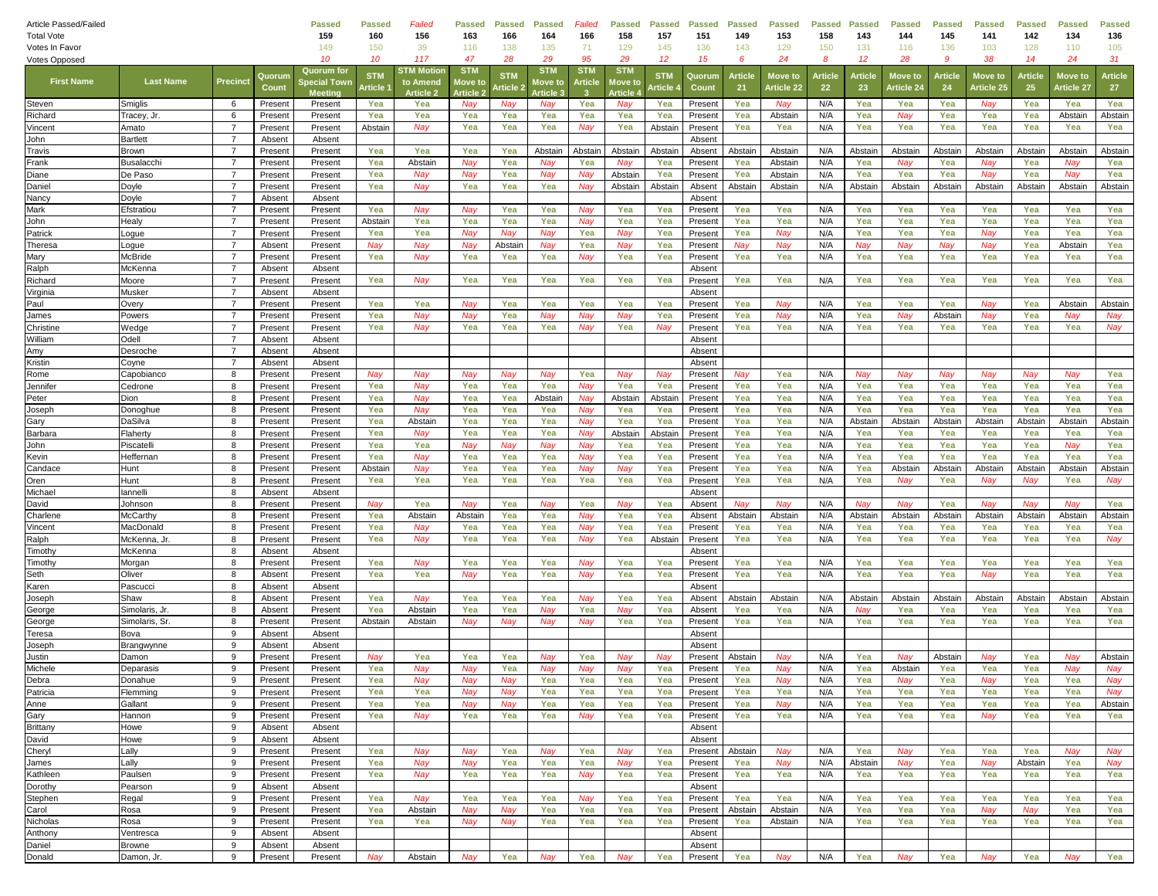| Article Passed/Failed<br><b>Total Vote</b> |                             |                                  |                    | <b>Passed</b><br>159                        | <b>Passed</b><br>160  | Failed<br>156                             | <b>Passed</b><br>163                    | <b>Passed</b><br>166   | <b>Passed</b><br>164                     | Failed<br>166               | <b>Passed</b><br>158                   | <b>Passed</b><br>157   | <b>Passed</b><br>151 | Passed<br>149  | <b>Passed</b><br>153         | <b>Passed</b><br>158 | <b>Passed</b><br>143 | <b>Passed</b><br>144  | <b>Passed</b><br>145 | <b>Passed</b><br>141         | <b>Passed</b><br>142 | <b>Passed</b><br>134  | <b>Passed</b><br>136 |
|--------------------------------------------|-----------------------------|----------------------------------|--------------------|---------------------------------------------|-----------------------|-------------------------------------------|-----------------------------------------|------------------------|------------------------------------------|-----------------------------|----------------------------------------|------------------------|----------------------|----------------|------------------------------|----------------------|----------------------|-----------------------|----------------------|------------------------------|----------------------|-----------------------|----------------------|
| Votes In Favor                             |                             |                                  |                    | 149                                         | 150                   | 39                                        | 116                                     | 138                    | 135                                      | 71                          | 129                                    | 145                    | 136                  | 143            | 129                          | 150                  | 131                  | 116                   | 136                  | 103                          | 128                  | 110                   | 105                  |
| <b>Votes Opposed</b>                       |                             |                                  |                    | 10                                          | 10                    | 117                                       | 47                                      | 28                     | 29                                       | 95                          | 29                                     | 12                     | 15                   | 6              | 24                           | 8                    | 12                   | 28                    | 9                    | 38                           | 14                   | 24                    | 31                   |
| <b>First Name</b>                          | <b>Last Name</b>            | Precinct                         | Quorun<br>Count    | Quorum for<br>pecial Towr<br><b>Meeting</b> | <b>STN</b><br>Article | STM Motio<br>to Amend<br><b>Article 2</b> | <b>STM</b><br>Move to<br><b>Article</b> | <b>STM</b><br>: rticle | <b>STM</b><br>love to<br><b>Article:</b> | <b>STM</b><br>Article<br>-3 | <b>STM</b><br>love t<br><b>Article</b> | <b>STM</b><br>، rticle | Quorum<br>Count      | Article<br>21  | Move tc<br><b>Article 22</b> | Article<br>22        | <b>Articl</b><br>23  | Move to<br>Article 24 | Article<br>24        | <b>Move to</b><br>Article 25 | Article<br>25        | Move to<br>Article 27 | Article<br>27        |
| Steven                                     | Smiglis                     | -6                               | Present            | Present                                     | Yea                   | Yea                                       | Nay                                     | Nay                    | Nay                                      | Yea                         | Nay                                    | Yea                    | Present              | Yea            | Nay                          | N/A                  | Yea                  | Yea                   | Yea                  | Nay                          | Yea                  | Yea                   | Yea                  |
| Richard                                    | Tracey, Jr                  | 6                                | Present            | Present                                     | Yea                   | Yea                                       | Yea                                     | Yea                    | Yea                                      | Yea                         | Yea                                    | Yea                    | Present              | Yea            | Abstain                      | N/A                  | Yea                  | Nay                   | Yea                  | Yea                          | Yea                  | Abstain               | Abstain              |
| Vincent                                    | Amato                       | $\overline{7}$                   | Present            | Present                                     | Abstain               | Nay                                       | Yea                                     | Yea                    | Yea                                      | Nay                         | Yea                                    | Abstair                | Present              | Yea            | Yea                          | N/A                  | Yea                  | Yea                   | Yea                  | Yea                          | Yea                  | Yea                   | Yea                  |
| John                                       | <b>Bartlett</b>             | $\overline{7}$                   | Absent             | Absent                                      |                       |                                           |                                         |                        |                                          |                             |                                        |                        | Absent               |                |                              |                      |                      |                       |                      |                              |                      |                       |                      |
| Travis                                     | <b>Brown</b>                | $\overline{7}$                   | Present            | Present                                     | Yea                   | Yea                                       | Yea                                     | Yea                    | Abstair                                  | Abstair                     | Abstair                                | Abstain                | Absent               | Abstair        | Abstain                      | N/A                  | Abstain              | Abstair               | Abstair              | Abstain                      | Abstair              | Abstain               | Abstain              |
| Frank                                      | <b>Busalacch</b><br>De Paso | $\overline{7}$<br>$\overline{7}$ | Present            | Present                                     | Yea                   | Abstain                                   | Nay                                     | Yea                    | Nay                                      | Yea<br>Nav                  | Nay<br>Abstain                         | Yea                    | Present              | Yea            | Abstain                      | N/A<br>N/A           | Yea<br>Yea           | Nay                   | Yea                  | Nay                          | Yea                  | Nay<br>Nay            | Yea                  |
| Diane<br>Daniel                            | Doyle                       | $\overline{7}$                   | Present<br>Present | Present<br>Present                          | Yea<br>Yea            | Nay<br>Nay                                | Nay<br>Yea                              | Yea<br>Yea             | Nay<br>Yea                               | Nay                         | Abstain                                | Yea<br>Abstain         | Present<br>Absent    | Yea<br>Abstaiı | Abstain<br>Abstain           | N/A                  | Abstain              | Yea<br>Abstair        | Yea<br>Abstair       | Nay<br>Abstain               | Yea<br>Abstain       | Abstain               | Yea<br>Abstain       |
| Nancy                                      | Doyle                       | $\overline{7}$                   | Absent             | Absent                                      |                       |                                           |                                         |                        |                                          |                             |                                        |                        | Absent               |                |                              |                      |                      |                       |                      |                              |                      |                       |                      |
| Mark                                       | Efstratiou                  | $\overline{7}$                   | Present            | Present                                     | Yea                   | Nay                                       | Nay                                     | Yea                    | Yea                                      | Nav                         | Yea                                    | Yea                    | Present              | Yea            | Yea                          | N/A                  | Yea                  | Yea                   | Yea                  | Yea                          | Yea                  | Yea                   | Yea                  |
| John                                       | Healy                       | $\overline{7}$                   | Present            | Present                                     | Abstain               | Yea                                       | Yea                                     | Yea                    | Yea                                      | Nay                         | Yea                                    | Yea                    | Present              | Yea            | Yea                          | N/A                  | Yea                  | Yea                   | Yea                  | Yea                          | Yea                  | Yea                   | Yea                  |
| Patrick                                    | Logue                       | $\overline{7}$                   | Present            | Present                                     | Yea                   | Yea                                       | Nav                                     | Nav                    | Nav                                      | Yea                         | Nav                                    | Yea                    | Present              | Yea            | Nav                          | N/A                  | Yea                  | Yea                   | Yea                  | Nay                          | Yea                  | Yea                   | Yea                  |
| Theresa                                    | Logue                       | $\overline{7}$                   | Absent             | Present                                     | Nay                   | Nay                                       | Nay                                     | Abstain                | Nay                                      | Yea                         | Nay                                    | Yea                    | Present              | Nav            | Nay                          | N/A                  | Nay                  | Nay                   | Nay                  | Nay                          | Yea                  | Abstain               | Yea                  |
| Mary                                       | <b>McBride</b>              | $\overline{7}$                   | Present            | Present                                     | Yea                   | Nay                                       | Yea                                     | Yea                    | Yea                                      | Nay                         | Yea                                    | Yea                    | Present              | Yea            | Yea                          | N/A                  | Yea                  | Yea                   | Yea                  | Yea                          | Yea                  | Yea                   | Yea                  |
| Ralph                                      | McKenna                     | $\overline{7}$                   | Absent             | Absent                                      |                       |                                           |                                         |                        |                                          |                             |                                        |                        | Absent               |                |                              |                      |                      |                       |                      |                              |                      |                       |                      |
| Richard                                    | Moore                       | $\overline{7}$                   | Present            | Present                                     | Yea                   | Nay                                       | Yea                                     | Yea                    | Yea                                      | Yea                         | Yea                                    | Yea                    | Present              | Yea            | Yea                          | N/A                  | Yea                  | Yea                   | Yea                  | Yea                          | Yea                  | Yea                   | Yea                  |
| Virginia<br>Paul                           | Musker                      | $\overline{7}$<br>$\overline{7}$ | Absent<br>Present  | Absent                                      | Yea                   | Yea                                       | Nay                                     | Yea                    | Yea                                      | Yea                         | Yea                                    | Yea                    | Absent<br>Present    | Yea            | Nay                          | N/A                  | Yea                  | Yea                   | Yea                  | Nay                          | Yea                  | Abstain               | Abstain              |
| James                                      | Overy<br>Powers             | $\overline{7}$                   | Present            | Present<br>Present                          | Yea                   | Nav                                       | Nav                                     | Yea                    | Nay                                      | Nay                         | Nay                                    | Yea                    | Present              | Yea            | Nay                          | N/A                  | Yea                  | Nav                   | Abstair              | Nay                          | Yea                  | Nav                   | Nay                  |
| Christine                                  | Wedge                       | $\overline{7}$                   | Present            | Present                                     | Yea                   | Nay                                       | Yea                                     | Yea                    | Yea                                      | Nay                         | Yea                                    | Nay                    | Present              | Yea            | Yea                          | N/A                  | Yea                  | Yea                   | Yea                  | Yea                          | Yea                  | Yea                   | Nay                  |
| William                                    | Odell                       | $\overline{7}$                   | Absent             | Absent                                      |                       |                                           |                                         |                        |                                          |                             |                                        |                        | Absent               |                |                              |                      |                      |                       |                      |                              |                      |                       |                      |
| Amy                                        | Desroche                    | $\overline{7}$                   | Absent             | Absent                                      |                       |                                           |                                         |                        |                                          |                             |                                        |                        | Absent               |                |                              |                      |                      |                       |                      |                              |                      |                       |                      |
| Kristin                                    | Coyne                       | $\overline{7}$                   | Absent             | Absent                                      |                       |                                           |                                         |                        |                                          |                             |                                        |                        | Absent               |                |                              |                      |                      |                       |                      |                              |                      |                       |                      |
| Rome                                       | Capobianco                  | 8                                | Present            | Present                                     | Nay                   | Nay                                       | Nay                                     | Nay                    | Nay                                      | Yea                         | Nay                                    | Nay                    | Present              | Nay            | Yea                          | N/A                  | Nay                  | Nay                   | Nay                  | Nay                          | Nav                  | Nay                   | Yea                  |
| Jennifer                                   | Cedrone                     | 8                                | Present            | Present                                     | Yea                   | Nay                                       | Yea                                     | Yea                    | Yea                                      | Nay                         | Yea                                    | Yea                    | Present              | Yea            | Yea                          | N/A                  | Yea                  | Yea                   | Yea                  | Yea                          | Yea                  | Yea                   | Yea                  |
| Peter                                      | Dion                        | 8                                | Present            | Present                                     | Yea                   | Nay                                       | Yea                                     | Yea                    | Abstain                                  | Nay                         | Abstair                                | Abstain                | Present              | Yea            | Yea                          | N/A                  | Yea                  | Yea                   | Yea                  | Yea                          | Yea                  | Yea                   | Yea                  |
| Joseph                                     | Donoghue                    | 8                                | Present            | Present                                     | Yea                   | Nay                                       | Yea                                     | Yea                    | Yea                                      | Nay                         | Yea                                    | Yea                    | Present              | Yea            | Yea                          | N/A                  | Yea                  | Yea                   | Yea                  | Yea                          | Yea                  | Yea                   | Yea                  |
| Gary                                       | DaSilva                     | 8<br>8                           | Present            | Present                                     | Yea                   | Abstain                                   | Yea                                     | Yea                    | Yea<br>Yea                               | Nay                         | Yea                                    | Yea                    | Present              | Yea<br>Yea     | Yea<br>Yea                   | N/A                  | Abstain              | Abstair               | Abstair              | Abstain                      | Abstain              | Abstain               | Abstain              |
| Barbara<br>John                            | Flaherty<br>Piscatell       | 8                                | Present<br>Present | Present<br>Present                          | Yea<br>Yea            | Nay<br>Yea                                | Yea<br>Nay                              | Yea<br>Nay             | Nay                                      | Nav<br>Nay                  | Abstain<br>Yea                         | Abstain<br>Yea         | Present<br>Present   | Yea            | Yea                          | N/A<br>N/A           | Yea<br>Yea           | Yea<br>Yea            | Yea<br>Yea           | Yea<br>Yea                   | Yea<br>Yea           | Yea<br>Nay            | Yea<br>Yea           |
| Kevin                                      | Heffernan                   | 8                                | Present            | Present                                     | Yea                   | Nay                                       | Yea                                     | Yea                    | Yea                                      | Nay                         | Yea                                    | Yea                    | Present              | Yea            | Yea                          | N/A                  | Yea                  | Yea                   | Yea                  | Yea                          | Yea                  | Yea                   | Yea                  |
| Candace                                    | Hunt                        | 8                                | Present            | Present                                     | Abstain               | Nay                                       | Yea                                     | Yea                    | Yea                                      | Nav                         | Nay                                    | Yea                    | Present              | Yea            | Yea                          | N/A                  | Yea                  | Abstain               | Abstair              | Abstain                      | Abstain              | Abstain               | Abstain              |
| Oren                                       | Hunt                        | 8                                | Present            | Present                                     | Yea                   | Yea                                       | Yea                                     | Yea                    | Yea                                      | Yea                         | Yea                                    | Yea                    | Present              | Yea            | Yea                          | N/A                  | Yea                  | Nay                   | Yea                  | <b>Nay</b>                   | Nay                  | Yea                   | Nay                  |
| Michael                                    | lannell                     | 8                                | Absent             | Absent                                      |                       |                                           |                                         |                        |                                          |                             |                                        |                        | Absent               |                |                              |                      |                      |                       |                      |                              |                      |                       |                      |
| David                                      | Johnson                     | 8                                | Present            | Present                                     | Nay                   | Yea                                       | Nay                                     | Yea                    | Nay                                      | Yea                         | Nay                                    | Yea                    | Absent               | Nay            | Nay                          | N/A                  | Nay                  | Nay                   | Yea                  | Nay                          | Nay                  | Nay                   | Yea                  |
| Charlene                                   | <b>McCarthy</b>             | 8                                | Present            | Present                                     | Yea                   | Abstain                                   | Abstair                                 | Yea                    | Yea                                      | Nay                         | Yea                                    | Yea                    | Absent               | Abstair        | Abstain                      | N/A                  | Abstain              | Abstair               | Abstair              | Abstain                      | Abstain              | Abstain               | Abstain              |
| Vincent                                    | MacDonald                   | 8                                | Present            | Present                                     | Yea                   | Nay                                       | Yea                                     | Yea                    | Yea                                      | Nav                         | Yea                                    | Yea                    | Presen               | Yea            | Yea                          | N/A                  | Yea                  | Yea                   | Yea                  | Yea                          | Yea                  | Yea                   | Yea                  |
| Ralph                                      | McKenna, Jr.                | 8                                | Present            | Present                                     | Yea                   | Nay                                       | Yea                                     | Yea                    | Yea                                      | Nay                         | Yea                                    | Abstain                | Present              | Yea            | Yea                          | N/A                  | Yea                  | Yea                   | Yea                  | Yea                          | Yea                  | Yea                   | Nay                  |
| Timothy                                    | McKenna                     | 8                                | Absent             | Absent                                      |                       |                                           |                                         |                        |                                          |                             |                                        |                        | Absent               |                |                              |                      |                      |                       |                      |                              |                      |                       |                      |
| Timothy                                    | Morgan<br>Oliver            | 8<br>8                           | Present<br>Absent  | Present                                     | Yea                   | Nay<br>Yea                                | Yea<br>Nay                              | Yea                    | Yea                                      | Nav<br>Nav                  | Yea                                    | Yea<br>Yea             | Present              | Yea<br>Yea     | Yea                          | N/A<br>N/A           | Yea                  | Yea<br>Yea            | Yea                  | Yea                          | Yea                  | Yea<br>Yea            | Yea                  |
| Seth<br>Karen                              | Pascucc                     | 8                                | Absent             | Present<br>Absent                           | Yea                   |                                           |                                         | Yea                    | Yea                                      |                             | Yea                                    |                        | Present<br>Absent    |                | Yea                          |                      | Yea                  |                       | Yea                  | Nay                          | Yea                  |                       | Yea                  |
| Joseph                                     | Shaw                        | 8                                | Absent             | Present                                     | Yea                   | Nay                                       | Yea                                     | Yea                    | Yea                                      | Nay                         | Yea                                    | Yea                    | Absent               | Abstair        | Abstair                      | N/A                  | Abstair              | Abstair               | Abstair              | Abstain                      | Abstair              | Abstain               | Abstain              |
| George                                     | Simolaris, Jr.              | 8                                | Absent             | Present                                     | Yea                   | Abstain                                   | Yea                                     | Yea                    | Nay                                      | Yea                         | Nay                                    | Yea                    | Absent               | Yea            | Yea                          | N/A                  | Nay                  | Yea                   | Yea                  | Yea                          | Yea                  | Yea                   | Yea                  |
| George                                     | Simolaris, Sr.              | 8                                | Present            | Present                                     | Abstain               | Abstain                                   | Nay                                     | Nay                    | Nay                                      | Nav                         | Yea                                    | Yea                    | Presen               | Yea            | Yea                          | N/A                  | Yea                  | Yea                   | Yea                  | Yea                          | Yea                  | Yea                   | Yea                  |
| Teresa                                     | Bova                        | 9                                | Absent             | Absent                                      |                       |                                           |                                         |                        |                                          |                             |                                        |                        | Absent               |                |                              |                      |                      |                       |                      |                              |                      |                       |                      |
| Joseph                                     | Brangwynne                  | 9                                | Absent             | Absent                                      |                       |                                           |                                         |                        |                                          |                             |                                        |                        | Absent               |                |                              |                      |                      |                       |                      |                              |                      |                       |                      |
| Justin                                     | Damon                       | 9                                | Present            | Present                                     | Nay                   | Yea                                       | Yea                                     | Yea                    | Nay                                      | Yea                         | Nav                                    | Nay                    | Present              | Abstair        | Nay                          | N/A                  | Yea                  | Nav                   | Abstair              | Nay                          | Yea                  | Nav                   | Abstain              |
| Michele                                    | Deparasis                   | 9                                | Present            | Present                                     | Yea                   | Nay                                       | Nay                                     | Yea                    | Nay                                      | Nay                         | Nay                                    | Yea                    | Present              | Yea            | Nay                          | N/A                  | Yea                  | Abstain               | Yea                  | Yea                          | Yea                  | Nay                   | Nay                  |
| Debra<br>Patricia                          | Donahue                     | 9                                | Present            | Present                                     | Yea                   | Nay                                       | Nay                                     | Nay                    | Yea                                      | Yea                         | Yea                                    | Yea                    | Present              | Yea            | Nay                          | N/A                  | Yea                  | Nay                   | Yea                  | Nay                          | Yea                  | Yea                   | Nay                  |
|                                            | Flemming<br>Gallant         | 9<br>9                           | Present<br>Present | Present                                     | Yea<br>Yea            | Yea<br>Yea                                | Nay<br>Nay                              | Nay<br>Nay             | Yea<br>Yea                               | Yea<br>Yea                  | Yea<br>Yea                             | Yea<br>Yea             | Present<br>Present   | Yea<br>Yea     | Yea<br>Nay                   | N/A<br>N/A           | Yea<br>Yea           | Yea<br>Yea            | Yea<br>Yea           | Yea                          | Yea                  | Yea<br>Yea            | Nay<br>Abstain       |
| Anne<br>Gary                               | Hannon                      | 9                                | Present            | Present<br>Present                          | Yea                   | Nay                                       | Yea                                     | Yea                    | Yea                                      | Nay                         | Yea                                    | Yea                    | Present              | Yea            | Yea                          | N/A                  | Yea                  | Yea                   | Yea                  | Yea<br>Nay                   | Yea<br>Yea           | Yea                   | Yea                  |
| <b>Brittany</b>                            | Howe                        | 9                                | Absent             | Absent                                      |                       |                                           |                                         |                        |                                          |                             |                                        |                        | Absent               |                |                              |                      |                      |                       |                      |                              |                      |                       |                      |
| David                                      | Howe                        | 9                                | Absent             | Absent                                      |                       |                                           |                                         |                        |                                          |                             |                                        |                        | Absent               |                |                              |                      |                      |                       |                      |                              |                      |                       |                      |
| Cheryl                                     | Lally                       | 9                                | Present            | Present                                     | Yea                   | Nay                                       | Nay                                     | Yea                    | Nay                                      | Yea                         | Nay                                    | Yea                    | Present              | Abstain        | Nay                          | N/A                  | Yea                  | Nay                   | Yea                  | Yea                          | Yea                  | Nay                   | Nay                  |
| James                                      | Lally                       | 9                                | Present            | Present                                     | Yea                   | Nay                                       | Nay                                     | Yea                    | Yea                                      | Yea                         | Nay                                    | Yea                    | Present              | Yea            | Nay                          | N/A                  | Abstain              | Nay                   | Yea                  | Nay                          | Abstain              | Yea                   | Nay                  |
| Kathleen                                   | Paulsen                     | 9                                | Present            | Present                                     | Yea                   | Nay                                       | Yea                                     | Yea                    | Yea                                      | Nay                         | Yea                                    | Yea                    | Present              | Yea            | Yea                          | N/A                  | Yea                  | Yea                   | Yea                  | Yea                          | Yea                  | Yea                   | Yea                  |
| Dorothy                                    | Pearson                     | 9                                | Absent             | Absent                                      |                       |                                           |                                         |                        |                                          |                             |                                        |                        | Absent               |                |                              |                      |                      |                       |                      |                              |                      |                       |                      |
| Stephen                                    | Regal                       | 9                                | Present            | Present                                     | Yea                   | Nay                                       | Yea                                     | Yea                    | Yea                                      | Nay                         | Yea                                    | Yea                    | Present              | Yea            | Yea                          | N/A                  | Yea                  | Yea                   | Yea                  | Yea                          | Yea                  | Yea                   | Yea                  |
| Carol                                      | Rosa                        | 9                                | Present            | Present                                     | Yea                   | Abstain                                   | Nay                                     | Nay                    | Yea                                      | Yea                         | Yea                                    | Yea                    | Present              | Abstain        | Abstain                      | N/A                  | Yea                  | Yea                   | Yea                  | Nay                          | Nay                  | Yea                   | Yea                  |
| Nicholas                                   | Rosa                        | 9                                | Present            | Present                                     | Yea                   | Yea                                       | Nay                                     | Nay                    | Yea                                      | Yea                         | Yea                                    | Yea                    | Present              | Yea            | Abstain                      | N/A                  | Yea                  | Yea                   | Yea                  | Yea                          | Yea                  | Yea                   | Yea                  |
| Anthony<br>Daniel                          | Ventresca<br><b>Browne</b>  | 9<br>9                           | Absent<br>Absent   | Absent<br>Absent                            |                       |                                           |                                         |                        |                                          |                             |                                        |                        | Absent<br>Absent     |                |                              |                      |                      |                       |                      |                              |                      |                       |                      |
| Donald                                     | Damon, Jr.                  | 9                                | Present            | Present                                     | Nay                   | Abstain                                   | Nay                                     | Yea                    | Nay                                      | Yea                         | Nay                                    | Yea                    | Present              | Yea            | Nay                          | N/A                  | Yea                  | Nay                   | Yea                  | Nay                          | Yea                  | Nay                   | Yea                  |
|                                            |                             |                                  |                    |                                             |                       |                                           |                                         |                        |                                          |                             |                                        |                        |                      |                |                              |                      |                      |                       |                      |                              |                      |                       |                      |